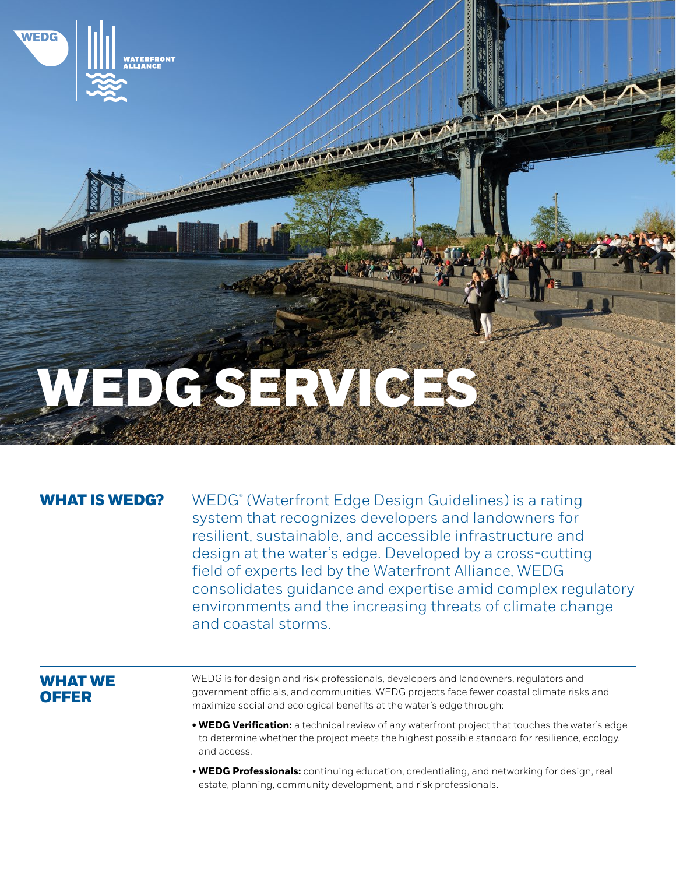

### **WHAT IS WEDG?**

 (Waterfront Edge Design Guidelines) is a rating system that recognizes developers and landowners for resilient, sustainable, and accessible infrastructure and design at the water's edge. Developed by a cross-cutting field of experts led by the Waterfront Alliance, WEDG consolidates guidance and expertise amid complex regulatory environments and the increasing threats of climate change and coastal storms.

## **WHAT WE OFFER**

WEDG is for design and risk professionals, developers and landowners, regulators and government officials, and communities. WEDG projects face fewer coastal climate risks and maximize social and ecological benefits at the water's edge through:

- **• WEDG Verification:** a technical review of any waterfront project that touches the water's edge to determine whether the project meets the highest possible standard for resilience, ecology, and access.
- **WEDG Professionals:** continuing education, credentialing, and networking for design, real estate, planning, community development, and risk professionals.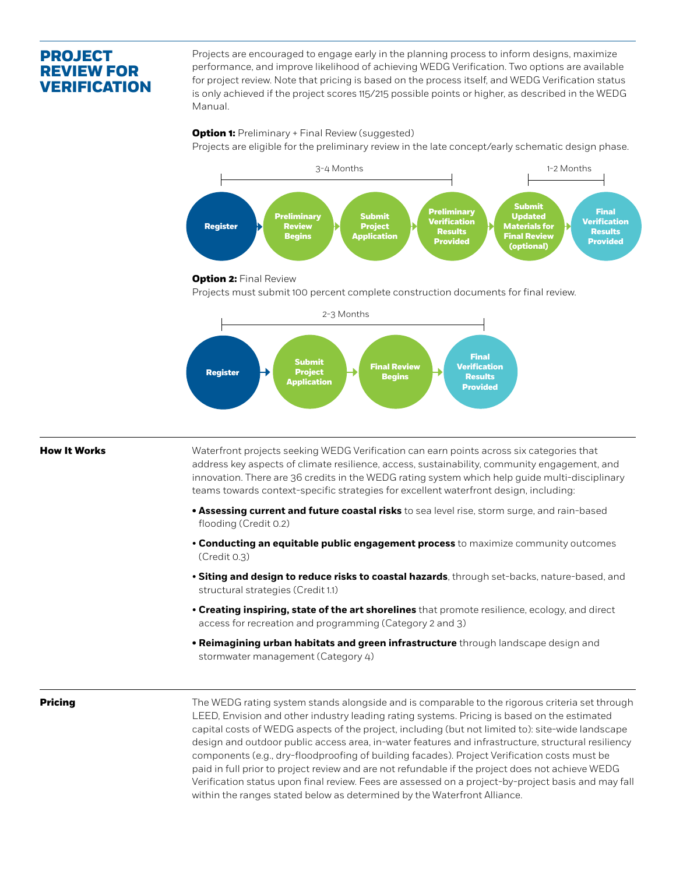# **PROJECT REVIEW FOR VERIFICATION**

Projects are encouraged to engage early in the planning process to inform designs, maximize performance, and improve likelihood of achieving WEDG Verification. Two options are available for project review. Note that pricing is based on the process itself, and WEDG Verification status is only achieved if the project scores 115/215 possible points or higher, as described in the WEDG Manual.

#### **Option 1:** Preliminary + Final Review (suggested)

Projects are eligible for the preliminary review in the late concept/early schematic design phase.



#### **Option 2: Final Review**

Projects must submit 100 percent complete construction documents for final review.



#### **How It Works**

Waterfront projects seeking WEDG Verification can earn points across six categories that address key aspects of climate resilience, access, sustainability, community engagement, and innovation. There are 36 credits in the WEDG rating system which help guide multi-disciplinary teams towards context-specific strategies for excellent waterfront design, including:

- **• Assessing current and future coastal risks** to sea level rise, storm surge, and rain-based flooding (Credit 0.2)
- **Conducting an equitable public engagement process** to maximize community outcomes (Credit 0.3)
- **Siting and design to reduce risks to coastal hazards**, through set-backs, nature-based, and structural strategies (Credit 1.1)
- **Creating inspiring, state of the art shorelines** that promote resilience, ecology, and direct access for recreation and programming (Category 2 and 3)
- **• Reimagining urban habitats and green infrastructure** through landscape design and stormwater management (Category 4)

**Pricing** 

The WEDG rating system stands alongside and is comparable to the rigorous criteria set through LEED, Envision and other industry leading rating systems. Pricing is based on the estimated capital costs of WEDG aspects of the project, including (but not limited to): site-wide landscape design and outdoor public access area, in-water features and infrastructure, structural resiliency components (e.g., dry-floodproofing of building facades). Project Verification costs must be paid in full prior to project review and are not refundable if the project does not achieve WEDG Verification status upon final review. Fees are assessed on a project-by-project basis and may fall within the ranges stated below as determined by the Waterfront Alliance.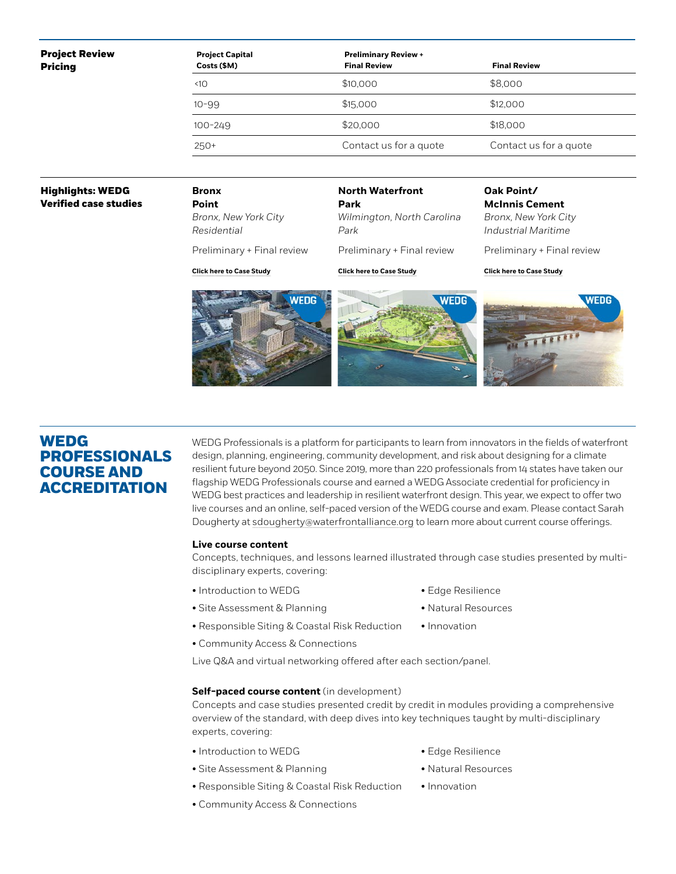#### **Project Review Pricing**

| <b>Project Capital</b><br>Costs (\$M) | <b>Preliminary Review +</b><br><b>Final Review</b> | <b>Final Review</b>    |  |
|---------------------------------------|----------------------------------------------------|------------------------|--|
| 10 <sub>10</sub>                      | \$10,000                                           | \$8,000                |  |
| $10 - 99$                             | \$15,000                                           | \$12,000               |  |
| $100 - 249$                           | \$20,000                                           | \$18,000               |  |
| $250+$                                | Contact us for a quote                             | Contact us for a quote |  |
|                                       |                                                    |                        |  |

### **Highlights: WEDG Verified case studies**

**Bronx Point** *Bronx, New York City Residential*

**North Waterfront Park** *Wilmington, North Carolina Park* Preliminary + Final review

**Oak Point/ McInnis Cement**

*Bronx, New York City Industrial Maritime*

Preliminary + Final review

**[Click here to Case Study](http://wedg.waterfrontalliance.org/wp-content/uploads/delightful-downloads/2020/08/WEDG_Case-Study_Bronx-Point.pdf)**

Preliminary + Final review

**[Click here to Case Study](http://wedg.waterfrontalliance.org/wp-content/uploads/delightful-downloads/2020/11/WEDG_Case-Study_NWP_3.pdf)**

**[Click here to Case Study](http://wedg.waterfrontalliance.org/wp-content/uploads/delightful-downloads/2020/08/WEDG_Case-Study_Bronx-Point.pdf)**





## **WEDG PROFESSIONALS COURSE AND ACCREDITATION**

WEDG Professionals is a platform for participants to learn from innovators in the fields of waterfront design, planning, engineering, community development, and risk about designing for a climate resilient future beyond 2050. Since 2019, more than 220 professionals from 14 states have taken our flagship WEDG Professionals course and earned a WEDG Associate credential for proficiency in WEDG best practices and leadership in resilient waterfront design. This year, we expect to offer two live courses and an online, self-paced version of the WEDG course and exam. Please contact Sarah Dougherty at [sdougherty@waterfrontalliance.org](mailto:sdougherty@waterfrontalliance.org) to learn more about current course offerings.

### **Live course content**

Concepts, techniques, and lessons learned illustrated through case studies presented by multidisciplinary experts, covering:

- Introduction to WEDG
- Site Assessment & Planning
- Edge Resilience
- Natural Resources
- Responsible Siting & Coastal Risk Reduction • Innovation
- Community Access & Connections

Live Q&A and virtual networking offered after each section/panel.

### **Self-paced course content** (in development)

Concepts and case studies presented credit by credit in modules providing a comprehensive overview of the standard, with deep dives into key techniques taught by multi-disciplinary experts, covering:

- Introduction to WEDG
- Site Assessment & Planning
- Responsible Siting & Coastal Risk Reduction
- Community Access & Connections
- Edge Resilience
- Natural Resources
- Innovation